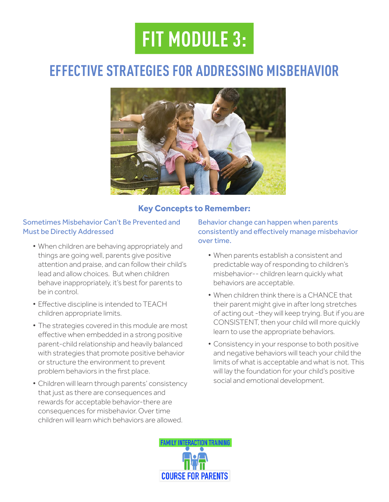# **FIT MODULE 3:**

### **EFFECTIVE STRATEGIES FOR ADDRESSING MISBEHAVIOR**



#### **Key Concepts to Remember:**

#### Sometimes Misbehavior Can't Be Prevented and Must be Directly Addressed

- When children are behaving appropriately and things are going well, parents give positive attention and praise, and can follow their child's lead and allow choices. But when children behave inappropriately, it's best for parents to be in control.
- Efective discipline is intended to TEACH children appropriate limits.
- The strategies covered in this module are most effective when embedded in a strong positive parent-child relationship and heavily balanced with strategies that promote positive behavior or structure the environment to prevent problem behaviors in the frst place.
- Children will learn through parents' consistency that just as there are consequences and rewards for acceptable behavior-there are consequences for misbehavior. Over time children will learn which behaviors are allowed.

Behavior change can happen when parents consistently and efectively manage misbehavior over time.

- When parents establish a consistent and predictable way of responding to children's misbehavior-- children learn quickly what behaviors are acceptable.
- When children think there is a CHANCE that their parent might give in after long stretches of acting out -they will keep trying. But if you are CONSISTENT, then your child will more quickly learn to use the appropriate behaviors.
- Consistency in your response to both positive and negative behaviors will teach your child the limits of what is acceptable and what is not. This will lay the foundation for your child's positive social and emotional development.

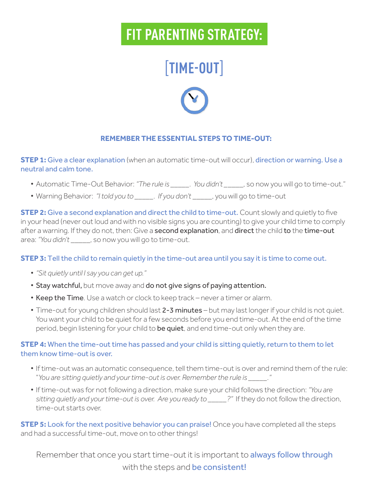# **FIT PARENTING STRATEGY:**

# [**TIME-OUT**]



#### **REMEMBER THE ESSENTIAL STEPS TO TIME-OUT:**

**STEP 1:** Give a clear explanation (when an automatic time-out will occur), direction or warning. Use a neutral and calm tone.

- Automatic Time-Out Behavior: *"The rule is \_\_\_\_\_. You didn't \_*\_\_\_\_, so now you will go to time-out."
- Warning Behavior: *"I told you to \_\_\_\_\_. If you don't* \_\_\_\_\_, you will go to time-out

**STEP 2:** Give a second explanation and direct the child to time-out. Count slowly and quietly to five in your head (never out loud and with no visible signs you are counting) to give your child time to comply after a warning. If they do not, then: Give a second explanation, and direct the child to the time-out area: *"You didn't* \_\_\_\_\_, so now you will go to time-out.

#### **STEP 3:** Tell the child to remain quietly in the time-out area until you say it is time to come out.

- *"Sit quietly until I say you can get up."*
- Stay watchful, but move away and do not give signs of paying attention.
- Keep the Time. Use a watch or clock to keep track never a timer or alarm.
- Time-out for young children should last 2-3 minutes but may last longer if your child is not quiet. You want your child to be quiet for a few seconds before you end time-out. At the end of the time period, begin listening for your child to be quiet, and end time-out only when they are.

#### **STEP 4:** When the time-out time has passed and your child is sitting quietly, return to them to let them know time-out is over.

- If time-out was an automatic consequence, tell them time-out is over and remind them of the rule: "*You are sitting quietly and your time-out is over. Remember the rule is \_\_\_\_\_."*
- If time-out was for not following a direction, make sure your child follows the direction: *"You are sitting quietly and your time-out is over. Are you ready to \_\_\_\_\_?"* If they do not follow the direction, time-out starts over.

**STEP 5:** Look for the next positive behavior you can praise! Once you have completed all the steps and had a successful time-out, move on to other things!

Remember that once you start time-out it is important to always follow through with the steps and be consistent!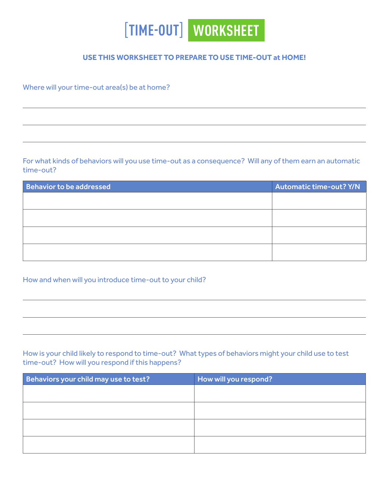

#### **USE THIS WORKSHEET TO PREPARE TO USE TIME-OUT at HOME!**

Where will your time-out area(s) be at home?

For what kinds of behaviors will you use time-out as a consequence? Will any of them earn an automatic time-out?

| <b>Behavior to be addressed</b> | <b>Automatic time-out? Y/N</b> |
|---------------------------------|--------------------------------|
|                                 |                                |
|                                 |                                |
|                                 |                                |
|                                 |                                |
|                                 |                                |
|                                 |                                |

#### How and when will you introduce time-out to your child?

How is your child likely to respond to time-out? What types of behaviors might your child use to test time-out? How will you respond if this happens?

| Behaviors your child may use to test? | How will you respond? |
|---------------------------------------|-----------------------|
|                                       |                       |
|                                       |                       |
|                                       |                       |
|                                       |                       |
|                                       |                       |
|                                       |                       |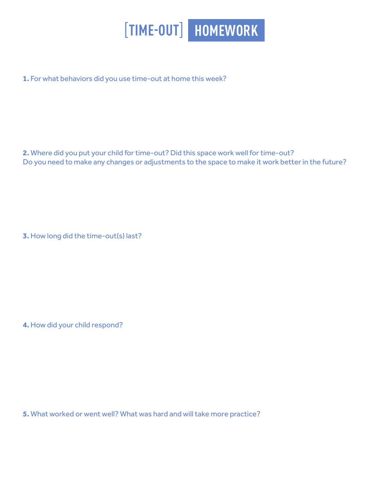

**1.** For what behaviors did you use time-out at home this week?

**2.** Where did you put your child for time-out? Did this space work well for time-out? Do you need to make any changes or adjustments to the space to make it work better in the future?

**3.** How long did the time-out(s) last?

**4.** How did your child respond?

**5.** What worked or went well? What was hard and will take more practice?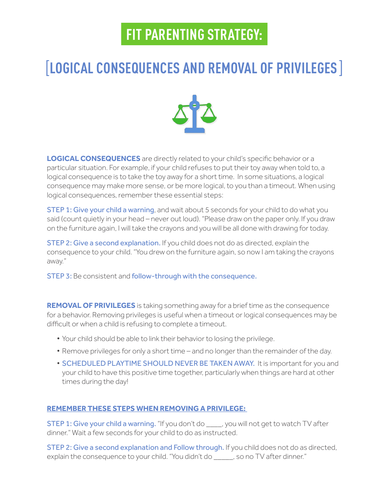## **FIT PARENTING STRATEGY:**

### [**LOGICAL CONSEQUENCES AND REMOVAL OF PRIVILEGES**]



**LOGICAL CONSEQUENCES** are directly related to your child's specifc behavior or a particular situation. For example, if your child refuses to put their toy away when told to, a logical consequence is to take the toy away for a short time. In some situations, a logical consequence may make more sense, or be more logical, to you than a timeout. When using logical consequences, remember these essential steps:

**STEP 1: Give your child a warning, and wait about 5 seconds for your child to do what you** said (count quietly in your head – never out loud). "Please draw on the paper only. If you draw on the furniture again, I will take the crayons and you will be all done with drawing for today.

STEP 2: Give a second explanation. If you child does not do as directed, explain the consequence to your child. "You drew on the furniture again, so now I am taking the crayons away."

STEP 3: Be consistent and follow-through with the consequence.

**REMOVAL OF PRIVILEGES** is taking something away for a brief time as the consequence for a behavior. Removing privileges is useful when a timeout or logical consequences may be difficult or when a child is refusing to complete a timeout.

- Your child should be able to link their behavior to losing the privilege.
- Remove privileges for only a short time and no longer than the remainder of the day.
- SCHEDULED PLAYTIME SHOULD NEVER BE TAKEN AWAY. It is important for you and your child to have this positive time together, particularly when things are hard at other times during the day!

#### **REMEMBER THESE STEPS WHEN REMOVING A PRIVILEGE:**

**STEP 1: Give your child a warning.** "If you don't do say you will not get to watch TV after dinner." Wait a few seconds for your child to do as instructed.

STEP 2: Give a second explanation and Follow through. If you child does not do as directed, explain the consequence to your child. "You didn't do \_\_\_\_\_, so no TV after dinner."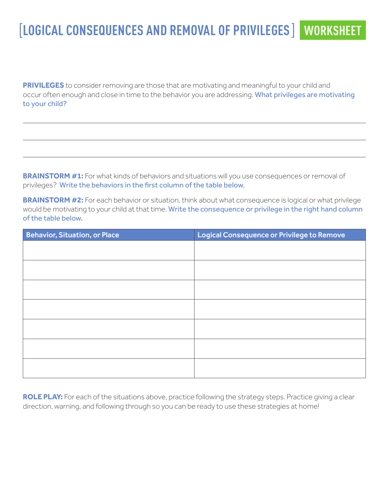### [**LOGICAL CONSEQUENCES AND REMOVAL OF PRIVILEGES**] **WORKSHEET**

**PRIVILEGES** to consider removing are those that are motivating and meaningful to your child and occur often enough and close in time to the behavior you are addressing. What privileges are motivating to your child?

**BRAINSTORM #1:** For what kinds of behaviors and situations will you use consequences or removal of privileges? Write the behaviors in the frst column of the table below.

**BRAINSTORM #2:** For each behavior or situation, think about what consequence is logical or what privilege would be motivating to your child at that time. Write the consequence or privilege in the right hand column of the table below.

| <b>Behavior, Situation, or Place</b> | Logical Consequence or Privilege to Remove |
|--------------------------------------|--------------------------------------------|
|                                      |                                            |
|                                      |                                            |
|                                      |                                            |
|                                      |                                            |
|                                      |                                            |
|                                      |                                            |
|                                      |                                            |
|                                      |                                            |
|                                      |                                            |
|                                      |                                            |
|                                      |                                            |
|                                      |                                            |
|                                      |                                            |

ROLE PLAY: For each of the situations above, practice following the strategy steps. Practice giving a clear direction, warning, and following through so you can be ready to use these strategies at home!